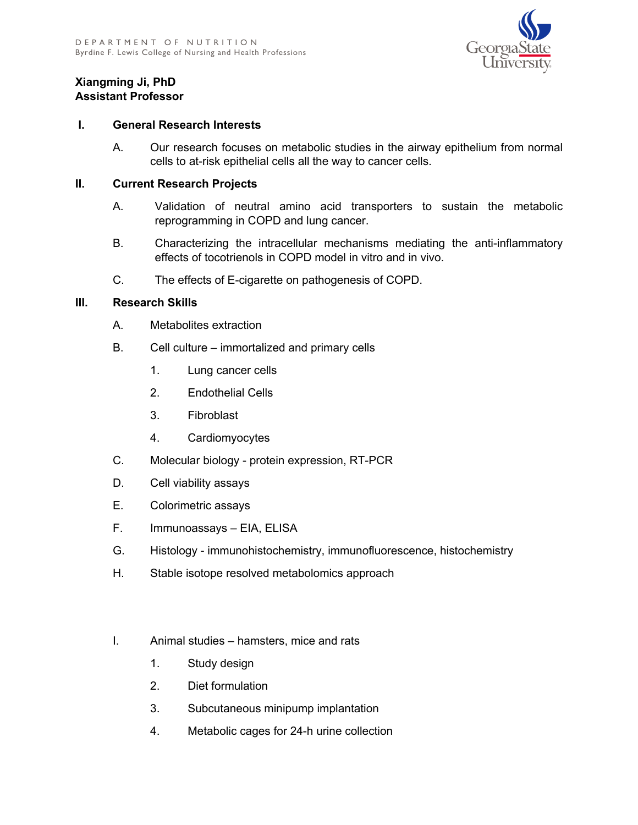

## **Xiangming Ji, PhD Assistant Professor**

## **I. General Research Interests**

A. Our research focuses on metabolic studies in the airway epithelium from normal cells to at-risk epithelial cells all the way to cancer cells.

## **II. Current Research Projects**

- A. Validation of neutral amino acid transporters to sustain the metabolic reprogramming in COPD and lung cancer.
- B. Characterizing the intracellular mechanisms mediating the anti-inflammatory effects of tocotrienols in COPD model in vitro and in vivo.
- C. The effects of E-cigarette on pathogenesis of COPD.

## **III. Research Skills**

- A. Metabolites extraction
- B. Cell culture immortalized and primary cells
	- 1. Lung cancer cells
	- 2. Endothelial Cells
	- 3. Fibroblast
	- 4. Cardiomyocytes
- C. Molecular biology protein expression, RT-PCR
- D. Cell viability assays
- E. Colorimetric assays
- F. Immunoassays EIA, ELISA
- G. Histology immunohistochemistry, immunofluorescence, histochemistry
- H. Stable isotope resolved metabolomics approach
- I. Animal studies hamsters, mice and rats
	- 1. Study design
	- 2. Diet formulation
	- 3. Subcutaneous minipump implantation
	- 4. Metabolic cages for 24-h urine collection